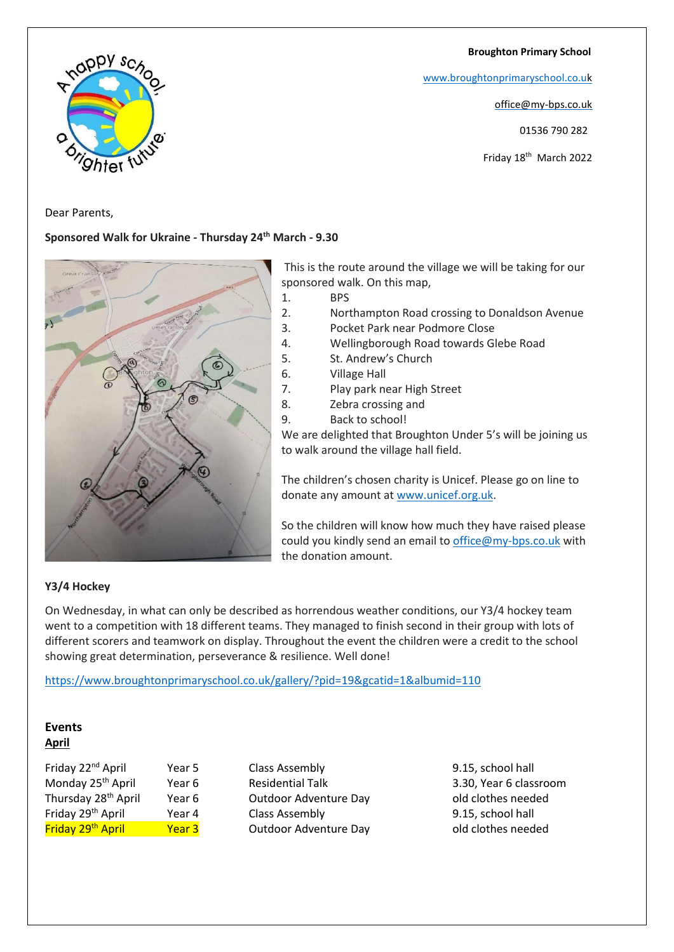**Broughton Primary School**

[www.broughtonprimaryschool.co.u](http://www.broughtonprimaryschool.co.u/)[k](http://www.broughtonprimaryschool.co.uk/)

office@my-bps.co.uk

01536 790 282

Friday 18<sup>th</sup> March 2022



Dear Parents,

## **Sponsored Walk for Ukraine - Thursday 24th March - 9.30**



This is the route around the village we will be taking for our sponsored walk. On this map,

1. BPS

- 2. Northampton Road crossing to Donaldson Avenue
- 3. Pocket Park near Podmore Close
- 4. Wellingborough Road towards Glebe Road
- 5. St. Andrew's Church
- 6. Village Hall
- 7. Play park near High Street
- 8. Zebra crossing and
- 9. Back to school!

We are delighted that Broughton Under 5's will be joining us to walk around the village hall field.

The children's chosen charity is Unicef. Please go on line to donate any amount a[t www.unicef.org.uk.](http://www.unicef.org.uk/)

So the children will know how much they have raised please could you kindly send an email to [office@my-bps.co.uk](mailto:office@my-bps.co.uk) with the donation amount.

## **Y3/4 Hockey**

On Wednesday, in what can only be described as horrendous weather conditions, our Y3/4 hockey team went to a competition with 18 different teams. They managed to finish second in their group with lots of different scorers and teamwork on display. Throughout the event the children were a credit to the school showing great determination, perseverance & resilience. Well done!

<https://www.broughtonprimaryschool.co.uk/gallery/?pid=19&gcatid=1&albumid=110>

## **Events April**

| Friday 22 <sup>nd</sup> April   | Year |
|---------------------------------|------|
| Monday 25 <sup>th</sup> April   | Year |
| Thursday 28 <sup>th</sup> April | Year |
| Friday 29 <sup>th</sup> April   | Year |
| Friday 29 <sup>th</sup> April   | Year |

France 2015 5 Class Assembly 5 Class Assembly 9.15, school hall 6 Residential Talk 3.30, Year 6 classroom 6 Outdoor Adventure Day 6 Old clothes needed France 20th April 20th April 20th April 20th April 20th April 20th April 20th April 20th April 20th April 20th April 20th April 20th April 20th April 20th April 20th April 20th April 20th April 20th April 20th April 20th A **Franch Adventure Day 2** Outdoor Adventure Day **2** Old clothes needed